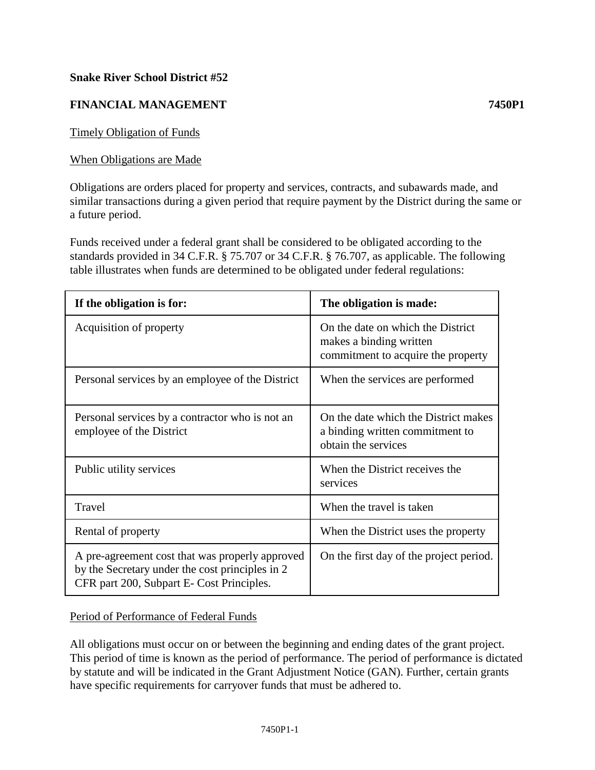# **Snake River School District #52**

# **FINANCIAL MANAGEMENT 7450P1**

Timely Obligation of Funds

### When Obligations are Made

Obligations are orders placed for property and services, contracts, and subawards made, and similar transactions during a given period that require payment by the District during the same or a future period.

Funds received under a federal grant shall be considered to be obligated according to the standards provided in 34 C.F.R. § 75.707 or 34 C.F.R. § 76.707, as applicable. The following table illustrates when funds are determined to be obligated under federal regulations:

| If the obligation is for:                                                                                                                       | The obligation is made:                                                                            |
|-------------------------------------------------------------------------------------------------------------------------------------------------|----------------------------------------------------------------------------------------------------|
| Acquisition of property                                                                                                                         | On the date on which the District<br>makes a binding written<br>commitment to acquire the property |
| Personal services by an employee of the District                                                                                                | When the services are performed                                                                    |
| Personal services by a contractor who is not an<br>employee of the District                                                                     | On the date which the District makes<br>a binding written commitment to<br>obtain the services     |
| Public utility services                                                                                                                         | When the District receives the<br>services                                                         |
| Travel                                                                                                                                          | When the travel is taken                                                                           |
| Rental of property                                                                                                                              | When the District uses the property                                                                |
| A pre-agreement cost that was properly approved<br>by the Secretary under the cost principles in 2<br>CFR part 200, Subpart E- Cost Principles. | On the first day of the project period.                                                            |

#### Period of Performance of Federal Funds

All obligations must occur on or between the beginning and ending dates of the grant project. This period of time is known as the period of performance. The period of performance is dictated by statute and will be indicated in the Grant Adjustment Notice (GAN). Further, certain grants have specific requirements for carryover funds that must be adhered to.